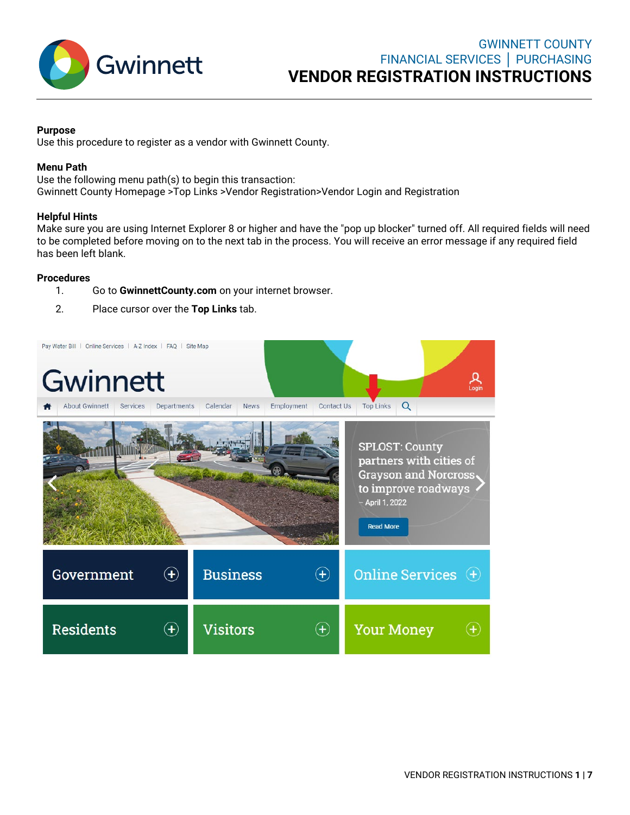

### **Purpose**

Use this procedure to register as a vendor with Gwinnett County.

## **Menu Path**

Use the following menu path(s) to begin this transaction: Gwinnett County Homepage >Top Links >Vendor Registration>Vendor Login and Registration

## **Helpful Hints**

Make sure you are using Internet Explorer 8 or higher and have the "pop up blocker" turned off. All required fields will need to be completed before moving on to the next tab in the process. You will receive an error message if any required field has been left blank.

## **Procedures**

- 1. Go to **[GwinnettCounty.com](http://gwinnettcounty.com/)** on your internet browser.
- 2. Place cursor over the **Top Links** tab.

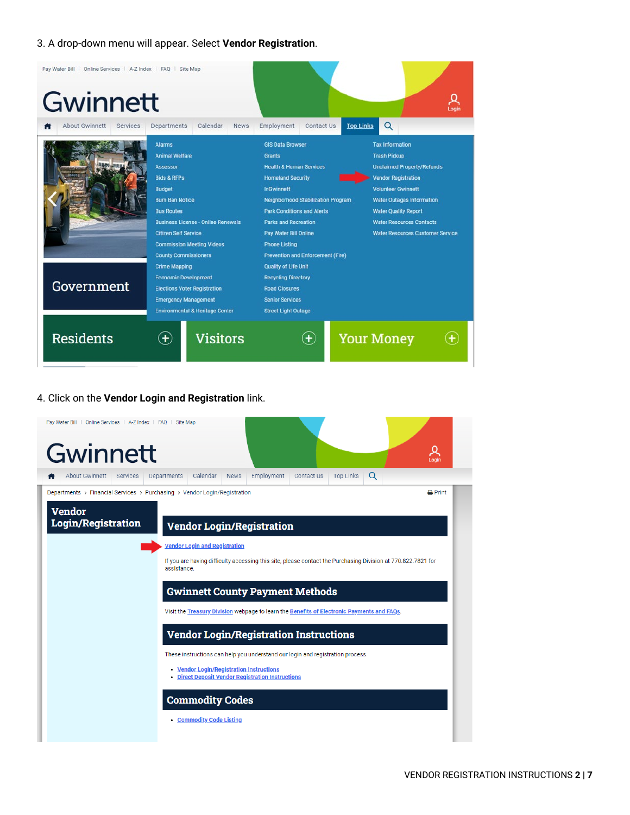# 3. A drop-down menu will appear. Select **Vendor Registration**.

| Pay Water Bill   Online Services   A-Z Index   FAQ   Site Map<br>Gwinnett |                                                                                                                                                                                                                                                                                                    |                                                                                                                                                                                                                                                                                                                                               |                                                                                                                                                                                                                                                                                                |
|---------------------------------------------------------------------------|----------------------------------------------------------------------------------------------------------------------------------------------------------------------------------------------------------------------------------------------------------------------------------------------------|-----------------------------------------------------------------------------------------------------------------------------------------------------------------------------------------------------------------------------------------------------------------------------------------------------------------------------------------------|------------------------------------------------------------------------------------------------------------------------------------------------------------------------------------------------------------------------------------------------------------------------------------------------|
| About Gwinnett<br>Services                                                | Departments<br>Calendar<br><b>News</b>                                                                                                                                                                                                                                                             | <b>Top Links</b><br>Employment<br><b>Contact Us</b>                                                                                                                                                                                                                                                                                           | Q                                                                                                                                                                                                                                                                                              |
|                                                                           | <b>Alarms</b><br><b>Animal Welfare</b><br><b>Assessor</b><br><b>Bids &amp; RFPs</b><br><b>Budget</b><br><b>Burn Ban Notice</b><br><b>Bus Routes</b><br><b>Business License - Online Renewals</b><br><b>Citizen Self Service</b><br><b>Commission Meeting Videos</b><br><b>County Commissioners</b> | <b>GIS Data Browser</b><br><b>Grants</b><br><b>Health &amp; Human Services</b><br><b>Homeland Security</b><br><b>InGwinnett</b><br><b>Neighborhood Stabilization Program</b><br><b>Park Conditions and Alerts</b><br><b>Parks and Recreation</b><br>Pay Water Bill Online<br><b>Phone Listing</b><br><b>Prevention and Enforcement (Fire)</b> | <b>Tax Information</b><br><b>Trash Pickup</b><br><b>Unclaimed Property/Refunds</b><br><b>Vendor Registration</b><br><b>Volunteer Gwinnett</b><br><b>Water Outages Information</b><br><b>Water Quality Report</b><br><b>Water Resources Contacts</b><br><b>Water Resources Customer Service</b> |
| Government                                                                | <b>Crime Mapping</b><br><b>Economic Development</b><br><b>Elections Voter Registration</b><br><b>Emergency Management</b><br><b>Environmental &amp; Heritage Center</b>                                                                                                                            | <b>Quality of Life Unit</b><br><b>Recycling Directory</b><br><b>Road Closures</b><br><b>Senior Services</b><br><b>Street Light Outage</b>                                                                                                                                                                                                     |                                                                                                                                                                                                                                                                                                |
| <b>Residents</b>                                                          | <b>Visitors</b><br>$\left( \mathbf{+}\right)$                                                                                                                                                                                                                                                      | $\left( + \right)$                                                                                                                                                                                                                                                                                                                            | <b>Your Money</b>                                                                                                                                                                                                                                                                              |

## 4. Click on the **Vendor Login and Registration** link.

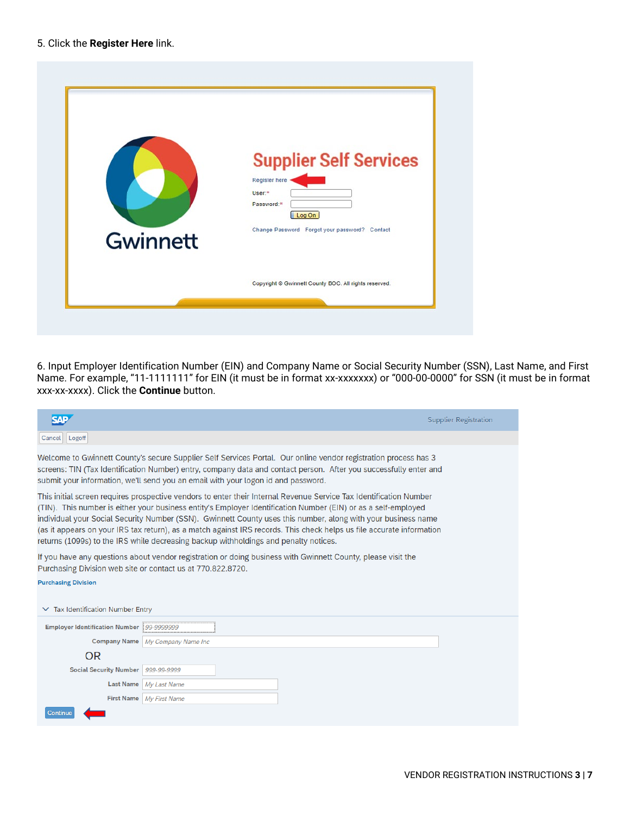### 5. Click the **Register Here** link.

|          | <b>Supplier Self Services</b><br>Register here -<br>User:*<br>Password:* |
|----------|--------------------------------------------------------------------------|
| Gwinnett | Log On<br>Change Password Forgot your password? Contact                  |
|          | Copyright @ Gwinnett County BOC. All rights reserved.                    |

6. Input Employer Identification Number (EIN) and Company Name or Social Security Number (SSN), Last Name, and First Name. For example, "11-1111111" for EIN (it must be in format xx-xxxxxxx) or "000-00-0000" for SSN (it must be in format xxx-xx-xxxx). Click the **Continue** button.

|                                        |                                                                                      |                                                                                                                                                                                                                                                                                                                                                                                                                                                                                | <b>Supplier Registration</b> |
|----------------------------------------|--------------------------------------------------------------------------------------|--------------------------------------------------------------------------------------------------------------------------------------------------------------------------------------------------------------------------------------------------------------------------------------------------------------------------------------------------------------------------------------------------------------------------------------------------------------------------------|------------------------------|
| Logoff<br>Cancel                       |                                                                                      |                                                                                                                                                                                                                                                                                                                                                                                                                                                                                |                              |
|                                        | submit your information, we'll send you an email with your logon id and password.    | Welcome to Gwinnett County's secure Supplier Self Services Portal. Our online vendor registration process has 3<br>screens: TIN (Tax Identification Number) entry, company data and contact person. After you successfully enter and                                                                                                                                                                                                                                           |                              |
|                                        | returns (1099s) to the IRS while decreasing backup withholdings and penalty notices. | This initial screen requires prospective vendors to enter their Internal Revenue Service Tax Identification Number<br>(TIN). This number is either your business entity's Employer Identification Number (EIN) or as a self-employed<br>individual your Social Security Number (SSN). Gwinnett County uses this number, along with your business name<br>(as it appears on your IRS tax return), as a match against IRS records. This check helps us file accurate information |                              |
|                                        | Purchasing Division web site or contact us at 770.822.8720.                          | If you have any questions about vendor registration or doing business with Gwinnett County, please visit the                                                                                                                                                                                                                                                                                                                                                                   |                              |
| <b>Purchasing Division</b>             |                                                                                      |                                                                                                                                                                                                                                                                                                                                                                                                                                                                                |                              |
| $\vee$ Tax Identification Number Entry |                                                                                      |                                                                                                                                                                                                                                                                                                                                                                                                                                                                                |                              |
| <b>Employer Identification Number</b>  | 99-9999999                                                                           |                                                                                                                                                                                                                                                                                                                                                                                                                                                                                |                              |
|                                        | Company Name   My Company Name Inc                                                   |                                                                                                                                                                                                                                                                                                                                                                                                                                                                                |                              |
| OR.                                    |                                                                                      |                                                                                                                                                                                                                                                                                                                                                                                                                                                                                |                              |
| <b>Social Security Number</b>          | 999-99-9999                                                                          |                                                                                                                                                                                                                                                                                                                                                                                                                                                                                |                              |
| <b>Last Name</b>                       | My Last Name                                                                         |                                                                                                                                                                                                                                                                                                                                                                                                                                                                                |                              |
|                                        | First Name My First Name                                                             |                                                                                                                                                                                                                                                                                                                                                                                                                                                                                |                              |
| Continue                               |                                                                                      |                                                                                                                                                                                                                                                                                                                                                                                                                                                                                |                              |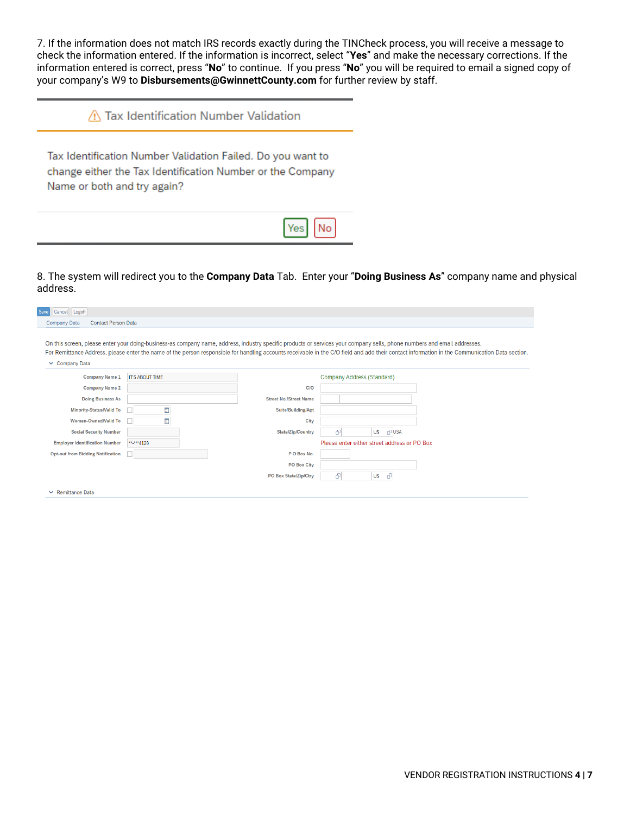7. If the information does not match IRS records exactly during the TINCheck process, you will receive a message to check the information entered. If the information is incorrect, select "**Yes**" and make the necessary corrections. If the information entered is correct, press "**No**" to continue. If you press "**No**" you will be required to email a signed copy of your company's W9 to **Disbursements@GwinnettCounty.com** for further review by staff.

Tax Identification Number Validation Failed. Do you want to change either the Tax Identification Number or the Company Name or both and try again?



8. The system will redirect you to the **Company Data** Tab. Enter your "**Doing Business As**" company name and physical address.

| Save<br>Cancel<br>Logoff                          |                        |                               |                                                                                                                                                                                                |
|---------------------------------------------------|------------------------|-------------------------------|------------------------------------------------------------------------------------------------------------------------------------------------------------------------------------------------|
| <b>Contact Person Data</b><br><b>Company Data</b> |                        |                               |                                                                                                                                                                                                |
|                                                   |                        |                               |                                                                                                                                                                                                |
|                                                   |                        |                               | On this screen, please enter your doing-business-as company name, address, industry specific products or services your company sells, phone numbers and email addresses.                       |
|                                                   |                        |                               | For Remittance Address, please enter the name of the person responsible for handling accounts receivable in the C/O field and add their contact information in the Communication Data section. |
| $\vee$ Company Data                               |                        |                               |                                                                                                                                                                                                |
| <b>Company Name 1</b>                             | <b>IT'S ABOUT TIME</b> |                               | Company Address (Standard)                                                                                                                                                                     |
| <b>Company Name 2</b>                             |                        | <b>C/O</b>                    |                                                                                                                                                                                                |
| <b>Doing Business As</b>                          |                        | <b>Street No./Street Name</b> |                                                                                                                                                                                                |
| <b>Minority-Status/Valid To</b>                   | 圓                      | Suite/Building/Apt            |                                                                                                                                                                                                |
| <b>Women-Owned/Valid To</b>                       | 圖                      | City                          |                                                                                                                                                                                                |
| <b>Social Security Number</b>                     |                        | <b>State/Zip/Country</b>      | <b>PUSA</b><br>Ð<br><b>US</b>                                                                                                                                                                  |
| <b>Employer Identification Number</b>             | ** <sub>****4128</sub> |                               | Please enter either street address or PO Box                                                                                                                                                   |
| <b>Opt-out from Bidding Notification</b>          |                        | PO Box No.                    |                                                                                                                                                                                                |
|                                                   |                        | <b>PO Box City</b>            |                                                                                                                                                                                                |
|                                                   |                        | <b>PO Box State/Zip/Ctry</b>  | P.<br>$\theta$<br><b>US</b>                                                                                                                                                                    |
| $\vee$ Remittance Data                            |                        |                               |                                                                                                                                                                                                |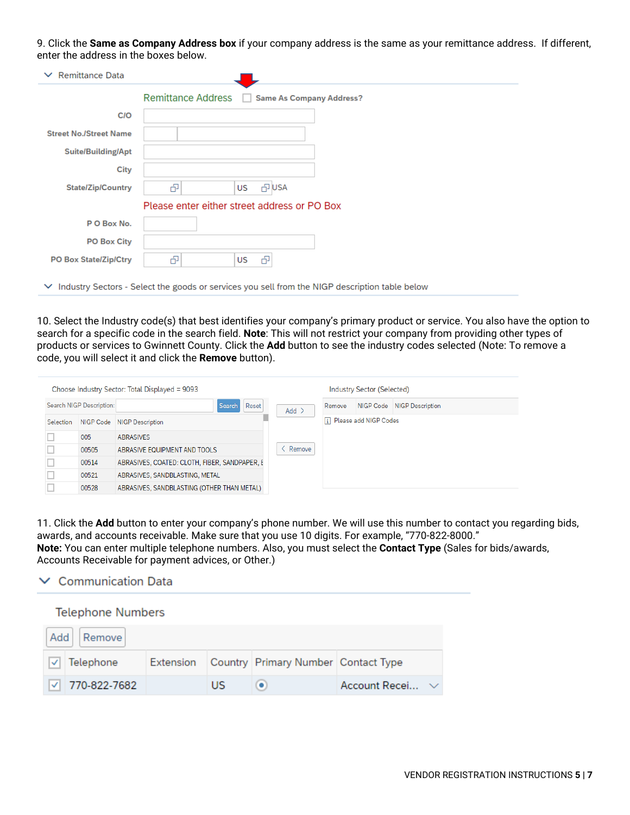9. Click the **Same as Company Address box** if your company address is the same as your remittance address. If different, enter the address in the boxes below.

| $\vee$ Remittance Data        |                                                                                                       |
|-------------------------------|-------------------------------------------------------------------------------------------------------|
|                               | Remittance Address   Same As Company Address?                                                         |
| <b>C/O</b>                    |                                                                                                       |
| <b>Street No./Street Name</b> |                                                                                                       |
| <b>Suite/Building/Apt</b>     |                                                                                                       |
| City                          |                                                                                                       |
| <b>State/Zip/Country</b>      | æ<br>凸 USA<br>US                                                                                      |
|                               | Please enter either street address or PO Box                                                          |
| PO Box No.                    |                                                                                                       |
| <b>PO Box City</b>            |                                                                                                       |
| <b>PO Box State/Zip/Ctry</b>  | 吊<br>吊<br>US                                                                                          |
|                               | $\vee$ Industry Sectors - Select the goods or services you sell from the NIGP description table below |

10. Select the Industry code(s) that best identifies your company's primary product or service. You also have the option to search for a specific code in the search field. **Note**: This will not restrict your company from providing other types of products or services to Gwinnett County. Click the **Add** button to see the industry codes selected (Note: To remove a code, you will select it and click the **Remove** button).

|           |                          | Choose Industry Sector: Total Displayed = 9093 |         |        | Industry Sector (Selected) |                            |
|-----------|--------------------------|------------------------------------------------|---------|--------|----------------------------|----------------------------|
|           | Search NIGP Description: | Reset<br><b>Search</b>                         | $Add$ > | Remove |                            | NIGP Code NIGP Description |
| Selection | NIGP Code                | <b>NIGP Description</b>                        |         |        | 1 Please add NIGP Codes    |                            |
|           | 005                      | <b>ABRASIVES</b>                               |         |        |                            |                            |
|           | 00505                    | ABRASIVE EQUIPMENT AND TOOLS                   | Remove  |        |                            |                            |
|           | 00514                    | ABRASIVES, COATED: CLOTH, FIBER, SANDPAPER, E  |         |        |                            |                            |
|           | 00521                    | ABRASIVES, SANDBLASTING, METAL                 |         |        |                            |                            |
|           | 00528                    | ABRASIVES, SANDBLASTING (OTHER THAN METAL)     |         |        |                            |                            |

11. Click the **Add** button to enter your company's phone number. We will use this number to contact you regarding bids, awards, and accounts receivable. Make sure that you use 10 digits. For example, "770-822-8000." **Note:** You can enter multiple telephone numbers. Also, you must select the **Contact Type** (Sales for bids/awards, Accounts Receivable for payment advices, or Other.)

|  | $\vee$ Communication Data |  |
|--|---------------------------|--|
|  |                           |  |

| <b>Telephone Numbers</b> |           |    |                                     |                      |  |
|--------------------------|-----------|----|-------------------------------------|----------------------|--|
| Add   Remove             |           |    |                                     |                      |  |
| Telephone                | Extension |    | Country Primary Number Contact Type |                      |  |
| $ $ $ $ 770-822-7682     |           | US |                                     | Account Recei $\vee$ |  |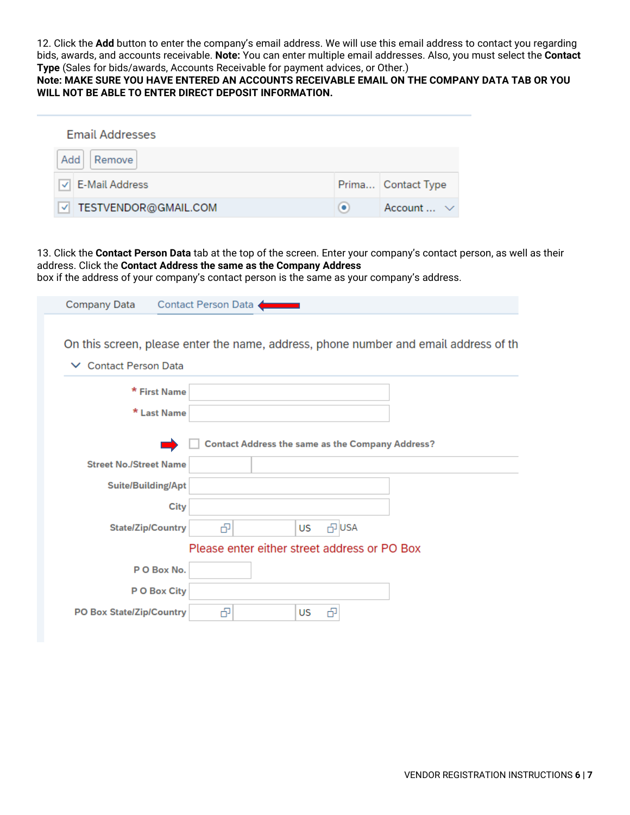12. Click the **Add** button to enter the company's email address. We will use this email address to contact you regarding bids, awards, and accounts receivable. **Note:** You can enter multiple email addresses. Also, you must select the **Contact Type** (Sales for bids/awards, Accounts Receivable for payment advices, or Other.)

**Note: MAKE SURE YOU HAVE ENTERED AN ACCOUNTS RECEIVABLE EMAIL ON THE COMPANY DATA TAB OR YOU WILL NOT BE ABLE TO ENTER DIRECT DEPOSIT INFORMATION.**

| <b>Email Addresses</b> |   |                       |
|------------------------|---|-----------------------|
| Add  <br>Remove        |   |                       |
| √ E-Mail Address       |   | Prima Contact Type    |
| TESTVENDOR@GMAIL.COM   | ۰ | Account $\ldots \vee$ |

13. Click the **Contact Person Data** tab at the top of the screen. Enter your company's contact person, as well as their address. Click the **Contact Address the same as the Company Address**

box if the address of your company's contact person is the same as your company's address.

| Company Data Contact Person Data                                                     |
|--------------------------------------------------------------------------------------|
|                                                                                      |
| On this screen, please enter the name, address, phone number and email address of th |
| $\vee$ Contact Person Data                                                           |
| * First Name                                                                         |
| * Last Name                                                                          |
|                                                                                      |
| <b>Contact Address the same as the Company Address?</b>                              |
| <b>Street No./Street Name</b>                                                        |
| Suite/Building/Apt                                                                   |
| <b>City</b>                                                                          |
| <b>PUSA</b><br>吊<br><b>State/Zip/Country</b><br>US.                                  |
| Please enter either street address or PO Box                                         |
| PO Box No.                                                                           |
| P O Box City                                                                         |
| ඌ<br><b>PO Box State/Zip/Country</b><br>US<br>吊                                      |